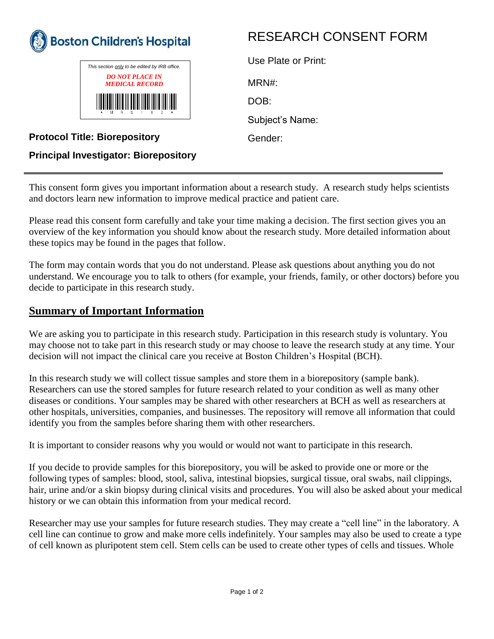



# RESEARCH CONSENT FORM

| Use Plate or Print: |
|---------------------|
| MRN#:               |
| DOB:                |
| Subject's Name:     |
| Gender:             |
|                     |

### **Protocol Title: Biorepository**

#### **Principal Investigator: Biorepository**

This consent form gives you important information about a research study. A research study helps scientists and doctors learn new information to improve medical practice and patient care.

Please read this consent form carefully and take your time making a decision. The first section gives you an overview of the key information you should know about the research study. More detailed information about these topics may be found in the pages that follow.

The form may contain words that you do not understand. Please ask questions about anything you do not understand. We encourage you to talk to others (for example, your friends, family, or other doctors) before you decide to participate in this research study.

#### **Summary of Important Information**

We are asking you to participate in this research study. Participation in this research study is voluntary. You may choose not to take part in this research study or may choose to leave the research study at any time. Your decision will not impact the clinical care you receive at Boston Children's Hospital (BCH).

In this research study we will collect tissue samples and store them in a biorepository (sample bank). Researchers can use the stored samples for future research related to your condition as well as many other diseases or conditions. Your samples may be shared with other researchers at BCH as well as researchers at other hospitals, universities, companies, and businesses. The repository will remove all information that could identify you from the samples before sharing them with other researchers.

It is important to consider reasons why you would or would not want to participate in this research.

If you decide to provide samples for this biorepository, you will be asked to provide one or more or the following types of samples: blood, stool, saliva, intestinal biopsies, surgical tissue, oral swabs, nail clippings, hair, urine and/or a skin biopsy during clinical visits and procedures. You will also be asked about your medical history or we can obtain this information from your medical record.

Researcher may use your samples for future research studies. They may create a "cell line" in the laboratory. A cell line can continue to grow and make more cells indefinitely. Your samples may also be used to create a type of cell known as pluripotent stem cell. Stem cells can be used to create other types of cells and tissues. Whole